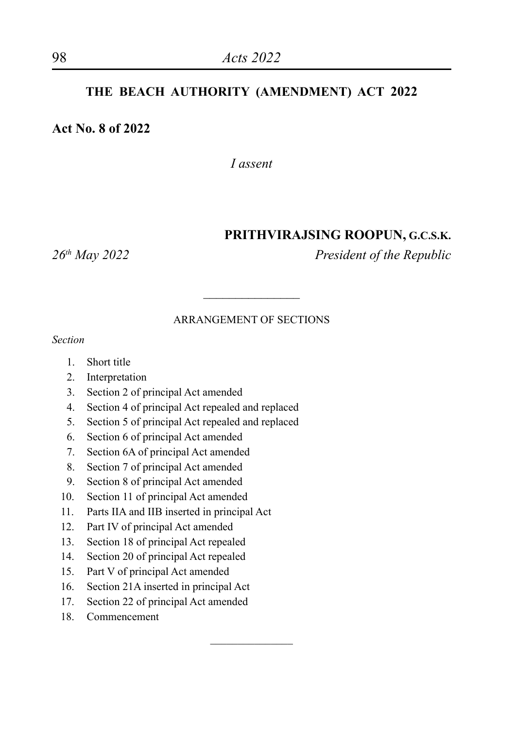#### **THE BEACH AUTHORITY (AMENDMENT) ACT 2022**

#### **Act No. 8 of 2022**

*I assent*

#### **PRITHVIRAJSING ROOPUN, G.C.S.K.**

*26th May 2022 President of the Republic*

#### ARRANGEMENT OF SECTIONS

 $\overline{\phantom{a}}$  , where  $\overline{\phantom{a}}$ 

 $\overline{\phantom{a}}$ 

*Section*

- 1. Short title
- 2. Interpretation
- 3. Section 2 of principal Act amended
- 4. Section 4 of principal Act repealed and replaced
- 5. Section 5 of principal Act repealed and replaced
- 6. Section 6 of principal Act amended
- 7. Section 6A of principal Act amended
- 8. Section 7 of principal Act amended
- 9. Section 8 of principal Act amended
- 10. Section 11 of principal Act amended
- 11. Parts IIA and IIB inserted in principal Act
- 12. Part IV of principal Act amended
- 13. Section 18 of principal Act repealed
- 14. Section 20 of principal Act repealed
- 15. Part V of principal Act amended
- 16. Section 21A inserted in principal Act
- 17. Section 22 of principal Act amended
- 18. Commencement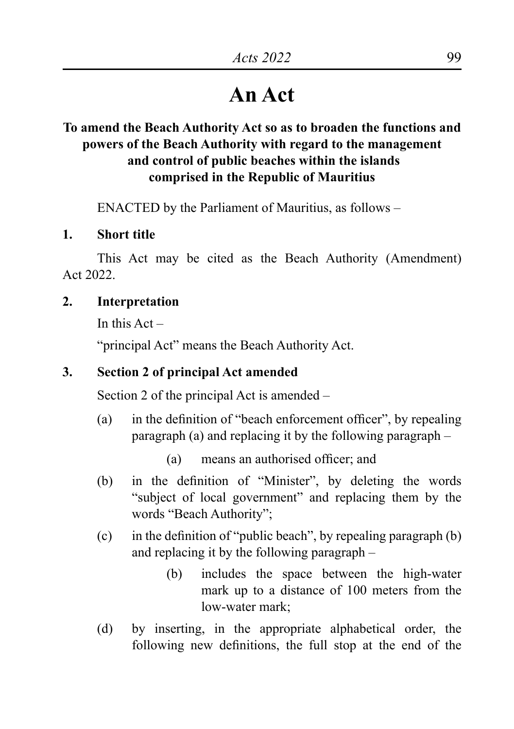# **An Act**

# **To amend the Beach Authority Act so as to broaden the functions and powers of the Beach Authority with regard to the management and control of public beaches within the islands comprised in the Republic of Mauritius**

ENACTED by the Parliament of Mauritius, as follows –

#### **1. Short title**

This Act may be cited as the Beach Authority (Amendment) Act 2022.

### **2. Interpretation**

In this  $Act =$ 

"principal Act" means the Beach Authority Act.

### **3. Section 2 of principal Act amended**

Section 2 of the principal Act is amended –

(a) in the definition of "beach enforcement officer", by repealing paragraph (a) and replacing it by the following paragraph –

(a) means an authorised officer; and

- (b) in the definition of "Minister", by deleting the words "subject of local government" and replacing them by the words "Beach Authority";
- (c) in the definition of "public beach", by repealing paragraph  $(b)$ and replacing it by the following paragraph –
	- (b) includes the space between the high-water mark up to a distance of 100 meters from the low-water mark;
- (d) by inserting, in the appropriate alphabetical order, the following new definitions, the full stop at the end of the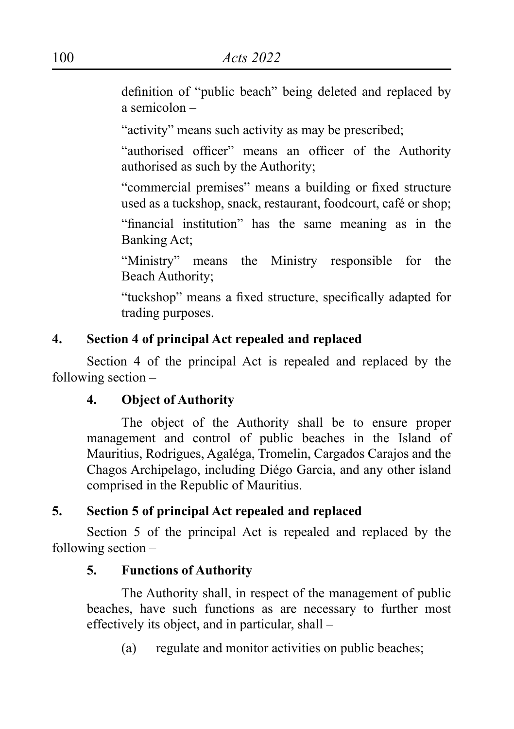definition of "public beach" being deleted and replaced by a semicolon –

"activity" means such activity as may be prescribed;

"authorised officer" means an officer of the Authority authorised as such by the Authority;

"commercial premises" means a building or fixed structure used as a tuckshop, snack, restaurant, foodcourt, café or shop;

"financial institution" has the same meaning as in the Banking Act;

"Ministry" means the Ministry responsible for the Beach Authority;

"tuckshop" means a fixed structure, specifically adapted for trading purposes.

### **4. Section 4 of principal Act repealed and replaced**

Section 4 of the principal Act is repealed and replaced by the following section –

### **4. Object of Authority**

The object of the Authority shall be to ensure proper management and control of public beaches in the Island of Mauritius, Rodrigues, Agaléga, Tromelin, Cargados Carajos and the Chagos Archipelago, including Diégo Garcia, and any other island comprised in the Republic of Mauritius.

# **5. Section 5 of principal Act repealed and replaced**

Section 5 of the principal Act is repealed and replaced by the following section –

### **5. Functions of Authority**

The Authority shall, in respect of the management of public beaches, have such functions as are necessary to further most effectively its object, and in particular, shall –

(a) regulate and monitor activities on public beaches;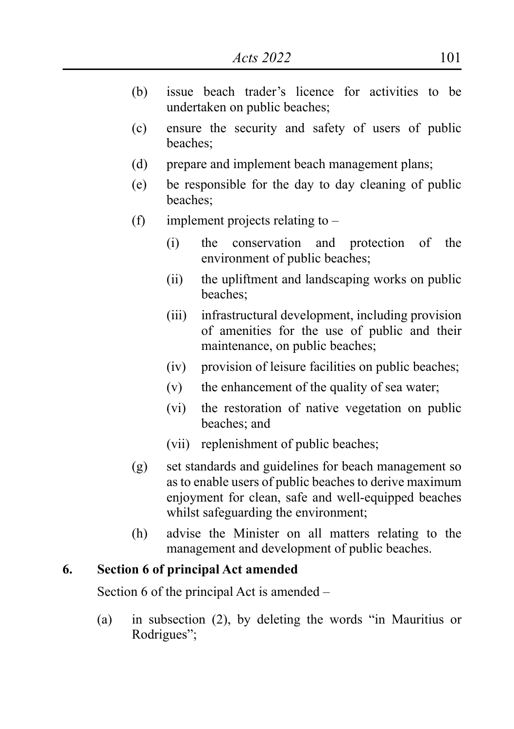- (b) issue beach trader's licence for activities to be undertaken on public beaches;
- (c) ensure the security and safety of users of public beaches;
- (d) prepare and implement beach management plans;
- (e) be responsible for the day to day cleaning of public beaches;
- (f) implement projects relating to  $-$ 
	- (i) the conservation and protection of the environment of public beaches;
	- (ii) the upliftment and landscaping works on public beaches;
	- (iii) infrastructural development, including provision of amenities for the use of public and their maintenance, on public beaches;
	- (iv) provision of leisure facilities on public beaches;
	- $(v)$  the enhancement of the quality of sea water;
	- (vi) the restoration of native vegetation on public beaches; and
	- (vii) replenishment of public beaches;
- (g) set standards and guidelines for beach management so as to enable users of public beaches to derive maximum enjoyment for clean, safe and well-equipped beaches whilst safeguarding the environment;
- (h) advise the Minister on all matters relating to the management and development of public beaches.

#### **6. Section 6 of principal Act amended**

Section 6 of the principal Act is amended –

(a) in subsection (2), by deleting the words "in Mauritius or Rodrigues";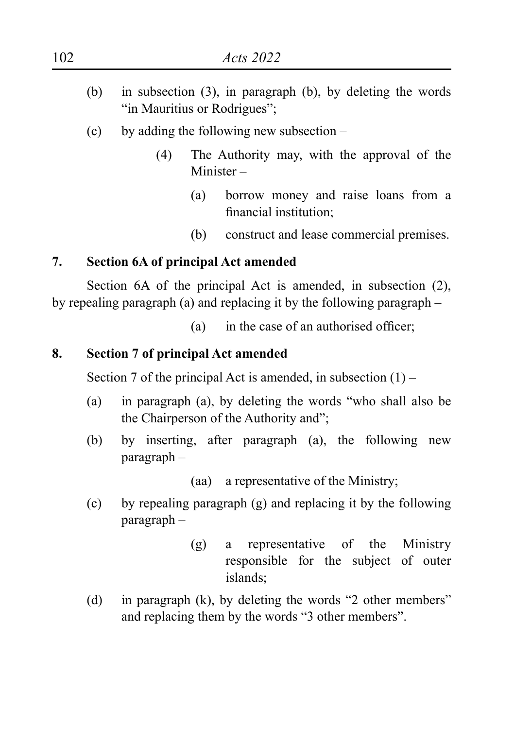- (b) in subsection  $(3)$ , in paragraph  $(b)$ , by deleting the words "in Mauritius or Rodrigues":
- (c) by adding the following new subsection  $-$ 
	- (4) The Authority may, with the approval of the Minister –
		- (a) borrow money and raise loans from a financial institution;
		- (b) construct and lease commercial premises.

### **7. Section 6A of principal Act amended**

Section 6A of the principal Act is amended, in subsection (2), by repealing paragraph (a) and replacing it by the following paragraph –

(a) in the case of an authorised officer;

### **8. Section 7 of principal Act amended**

Section 7 of the principal Act is amended, in subsection  $(1)$  –

- (a) in paragraph (a), by deleting the words "who shall also be the Chairperson of the Authority and";
- (b) by inserting, after paragraph (a), the following new paragraph –

(aa) a representative of the Ministry;

- (c) by repealing paragraph (g) and replacing it by the following paragraph –
	- (g) a representative of the Ministry responsible for the subject of outer islands;
- (d) in paragraph (k), by deleting the words "2 other members" and replacing them by the words "3 other members".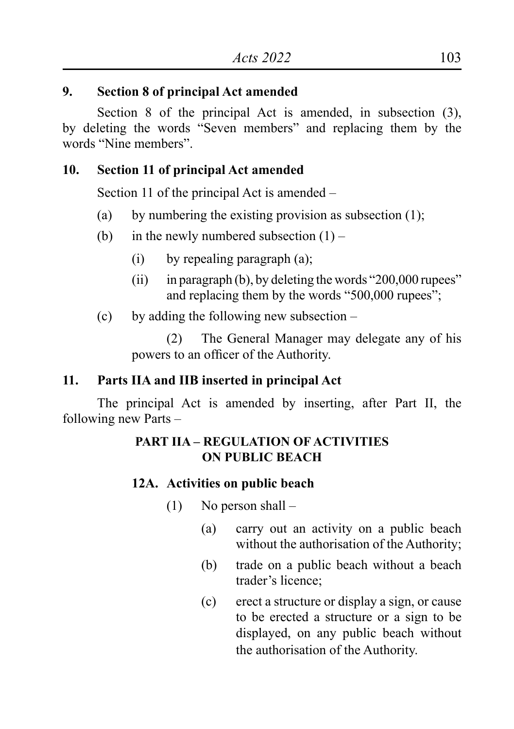### **9. Section 8 of principal Act amended**

Section 8 of the principal Act is amended, in subsection (3), by deleting the words "Seven members" and replacing them by the words "Nine members".

### **10. Section 11 of principal Act amended**

Section 11 of the principal Act is amended –

- (a) by numbering the existing provision as subsection  $(1)$ ;
- (b) in the newly numbered subsection  $(1)$ 
	- $(i)$  by repealing paragraph  $(a)$ ;
	- (ii) in paragraph (b), by deleting the words " $200,000$  rupees" and replacing them by the words "500,000 rupees";
- (c) by adding the following new subsection  $-$

(2) The General Manager may delegate any of his powers to an officer of the Authority.

### **11. Parts IIA and IIB inserted in principal Act**

The principal Act is amended by inserting, after Part II, the following new Parts –

# **PART IIA – REGULATION OF ACTIVITIES ON PUBLIC BEACH**

### **12A. Activities on public beach**

- (1) No person shall
	- (a) carry out an activity on a public beach without the authorisation of the Authority;
	- (b) trade on a public beach without a beach trader's licence;
	- (c) erect a structure or display a sign, or cause to be erected a structure or a sign to be displayed, on any public beach without the authorisation of the Authority.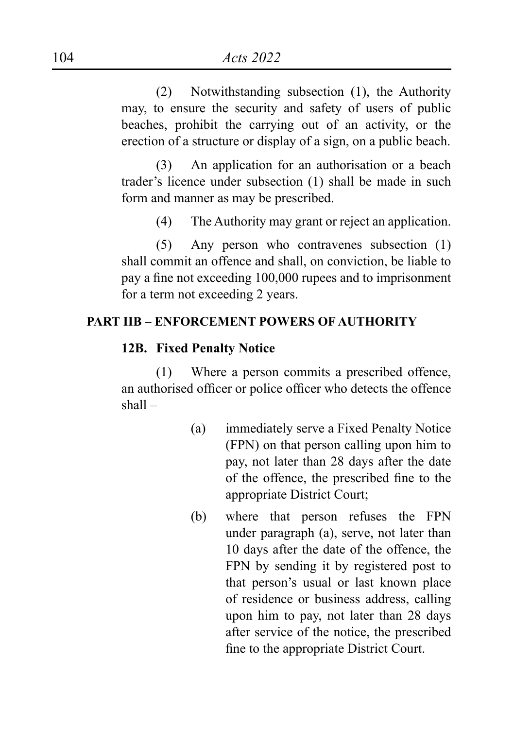(2) Notwithstanding subsection (1), the Authority may, to ensure the security and safety of users of public beaches, prohibit the carrying out of an activity, or the erection of a structure or display of a sign, on a public beach.

(3) An application for an authorisation or a beach trader's licence under subsection (1) shall be made in such form and manner as may be prescribed.

(4) The Authority may grant or reject an application.

(5) Any person who contravenes subsection (1) shall commit an offence and shall, on conviction, be liable to pay a fine not exceeding 100,000 rupees and to imprisonment for a term not exceeding 2 years.

#### **PART IIB – ENFORCEMENT POWERS OF AUTHORITY**

#### **12B. Fixed Penalty Notice**

(1) Where a person commits a prescribed offence, an authorised officer or police officer who detects the offence shall –

- (a) immediately serve a Fixed Penalty Notice (FPN) on that person calling upon him to pay, not later than 28 days after the date of the offence, the prescribed fine to the appropriate District Court;
- (b) where that person refuses the FPN under paragraph (a), serve, not later than 10 days after the date of the offence, the FPN by sending it by registered post to that person's usual or last known place of residence or business address, calling upon him to pay, not later than 28 days after service of the notice, the prescribed fine to the appropriate District Court.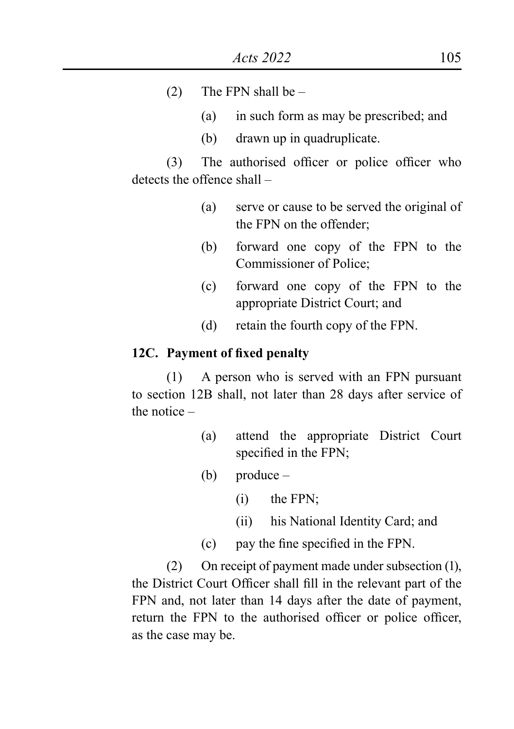- (2) The FPN shall be  $-$ 
	- (a) in such form as may be prescribed; and
	- (b) drawn up in quadruplicate.

(3) The authorised officer or police officer who detects the offence shall –

- (a) serve or cause to be served the original of the FPN on the offender;
- (b) forward one copy of the FPN to the Commissioner of Police;
- (c) forward one copy of the FPN to the appropriate District Court; and
- (d) retain the fourth copy of the FPN.

#### **12C. Payment of fixed penalty**

 $(1)$  A person who is served with an FPN pursuant to section 12B shall, not later than 28 days after service of the notice –

- (a) attend the appropriate District Court specified in the FPN;
- (b) produce
	- $(i)$  the FPN;
	- (ii) his National Identity Card; and
- (c) pay the fine specified in the FPN.

(2) On receipt of payment made under subsection (1), the District Court Officer shall fill in the relevant part of the FPN and, not later than 14 days after the date of payment, return the FPN to the authorised officer or police officer, as the case may be.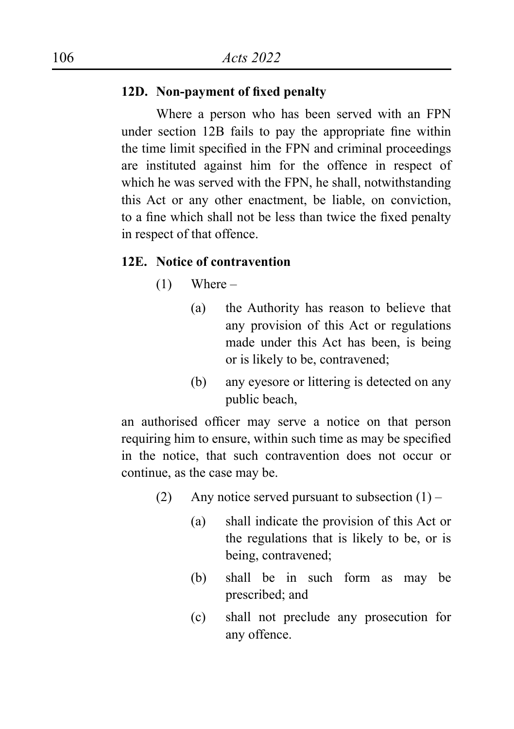#### **12D. Non-payment of fixed penalty**

Where a person who has been served with an FPN under section 12B fails to pay the appropriate fine within the time limit specified in the FPN and criminal proceedings are instituted against him for the offence in respect of which he was served with the FPN, he shall, notwithstanding this Act or any other enactment, be liable, on conviction, to a fine which shall not be less than twice the fixed penalty in respect of that offence.

#### **12E. Notice of contravention**

- $(1)$  Where
	- (a) the Authority has reason to believe that any provision of this Act or regulations made under this Act has been, is being or is likely to be, contravened;
	- (b) any eyesore or littering is detected on any public beach,

an authorised officer may serve a notice on that person requiring him to ensure, within such time as may be specified in the notice, that such contravention does not occur or continue, as the case may be.

- (2) Any notice served pursuant to subsection  $(1)$ 
	- (a) shall indicate the provision of this Act or the regulations that is likely to be, or is being, contravened;
	- (b) shall be in such form as may be prescribed; and
	- (c) shall not preclude any prosecution for any offence.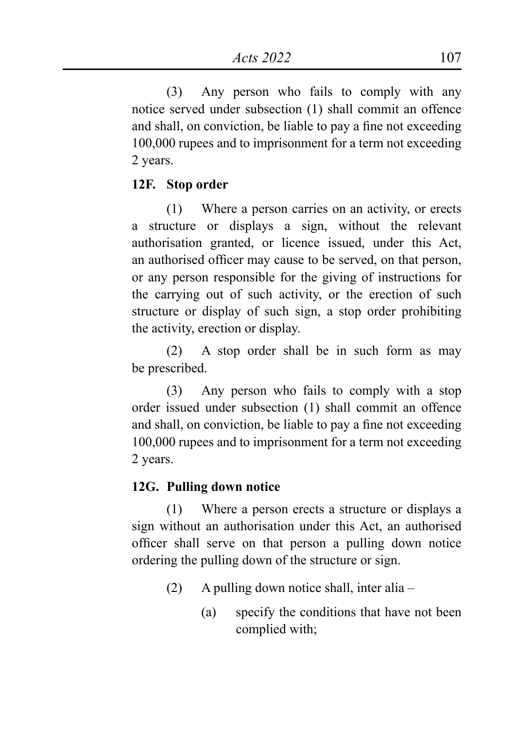(3) Any person who fails to comply with any notice served under subsection (1) shall commit an offence and shall, on conviction, be liable to pay a fine not exceeding 100,000 rupees and to imprisonment for a term not exceeding 2 years.

### **12F. Stop order**

(1) Where a person carries on an activity, or erects a structure or displays a sign, without the relevant authorisation granted, or licence issued, under this Act, an authorised officer may cause to be served, on that person, or any person responsible for the giving of instructions for the carrying out of such activity, or the erection of such structure or display of such sign, a stop order prohibiting the activity, erection or display.

(2) A stop order shall be in such form as may be prescribed.

(3) Any person who fails to comply with a stop order issued under subsection (1) shall commit an offence and shall, on conviction, be liable to pay a fine not exceeding 100,000 rupees and to imprisonment for a term not exceeding 2 years.

### **12G. Pulling down notice**

(1) Where a person erects a structure or displays a sign without an authorisation under this Act, an authorised officer shall serve on that person a pulling down notice ordering the pulling down of the structure or sign.

- $(2)$  A pulling down notice shall, inter alia
	- (a) specify the conditions that have not been complied with;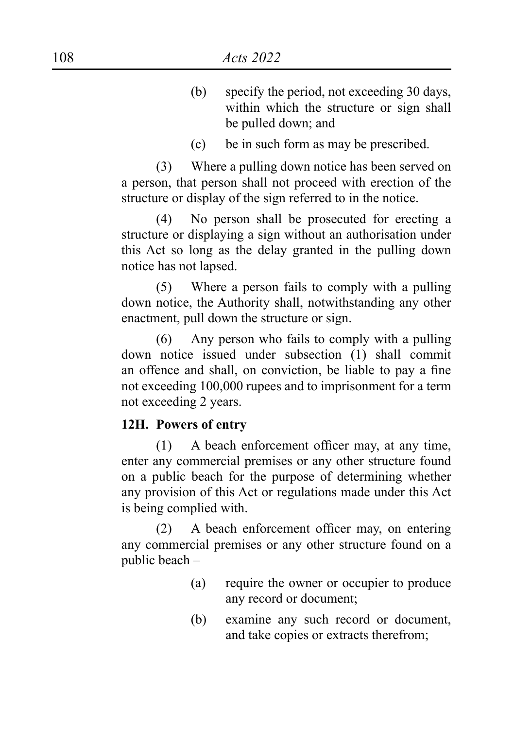- (b) specify the period, not exceeding 30 days, within which the structure or sign shall be pulled down; and
- (c) be in such form as may be prescribed.

(3) Where a pulling down notice has been served on a person, that person shall not proceed with erection of the structure or display of the sign referred to in the notice.

(4) No person shall be prosecuted for erecting a structure or displaying a sign without an authorisation under this Act so long as the delay granted in the pulling down notice has not lapsed.

 $(5)$  Where a person fails to comply with a pulling down notice, the Authority shall, notwithstanding any other enactment, pull down the structure or sign.

 $(6)$  Any person who fails to comply with a pulling down notice issued under subsection (1) shall commit an offence and shall, on conviction, be liable to pay a fine not exceeding 100,000 rupees and to imprisonment for a term not exceeding 2 years.

### **12H. Powers of entry**

(1) A beach enforcement officer may, at any time, enter any commercial premises or any other structure found on a public beach for the purpose of determining whether any provision of this Act or regulations made under this Act is being complied with.

(2) A beach enforcement officer may, on entering any commercial premises or any other structure found on a public beach –

- (a) require the owner or occupier to produce any record or document;
- (b) examine any such record or document, and take copies or extracts therefrom;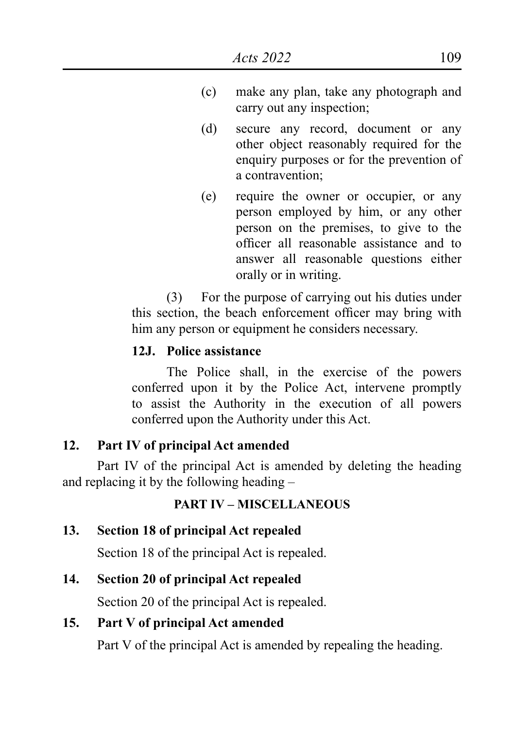- (c) make any plan, take any photograph and carry out any inspection;
- (d) secure any record, document or any other object reasonably required for the enquiry purposes or for the prevention of a contravention;
- (e) require the owner or occupier, or any person employed by him, or any other person on the premises, to give to the officer all reasonable assistance and to answer all reasonable questions either orally or in writing.

(3) For the purpose of carrying out his duties under this section, the beach enforcement officer may bring with him any person or equipment he considers necessary.

### **12J. Police assistance**

The Police shall, in the exercise of the powers conferred upon it by the Police Act, intervene promptly to assist the Authority in the execution of all powers conferred upon the Authority under this Act.

### **12. Part IV of principal Act amended**

Part IV of the principal Act is amended by deleting the heading and replacing it by the following heading –

### **PART IV – MISCELLANEOUS**

### **13. Section 18 of principal Act repealed**

Section 18 of the principal Act is repealed.

### **14. Section 20 of principal Act repealed**

Section 20 of the principal Act is repealed.

### **15. Part V of principal Act amended**

Part V of the principal Act is amended by repealing the heading.